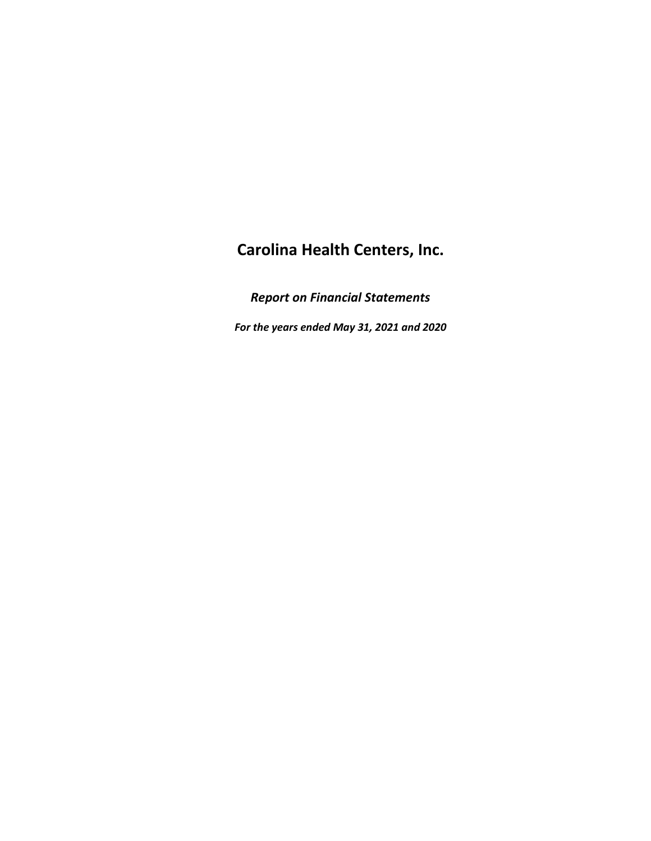*Report on Financial Statements*

*For the years ended May 31, 2021 and 2020*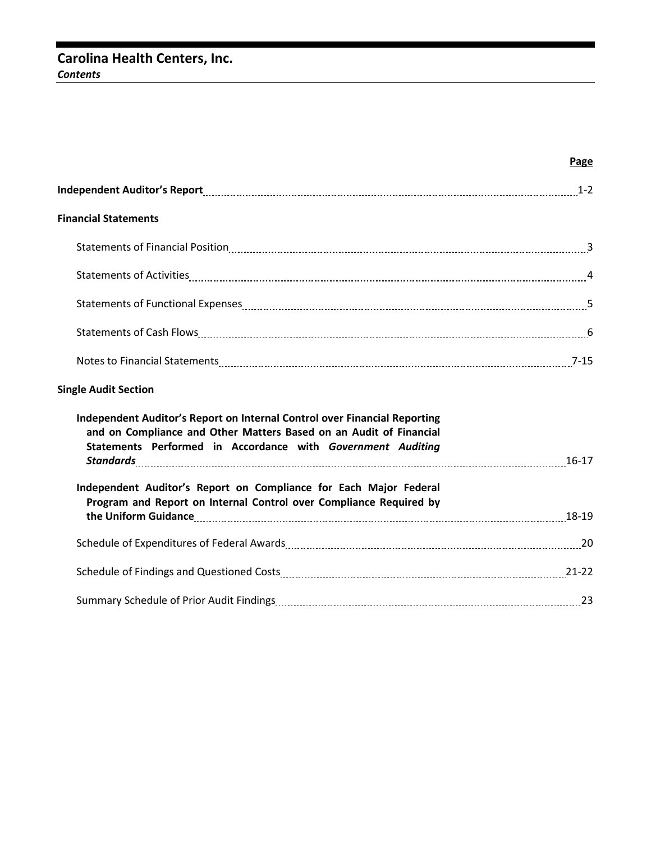## **Carolina Health Centers, Inc.** *Contents*

| Independent Auditor's Report [[11] 1-2] Independent Care in the University of the University of the University                                                                                                                    |  |
|-----------------------------------------------------------------------------------------------------------------------------------------------------------------------------------------------------------------------------------|--|
| <b>Financial Statements</b>                                                                                                                                                                                                       |  |
|                                                                                                                                                                                                                                   |  |
|                                                                                                                                                                                                                                   |  |
|                                                                                                                                                                                                                                   |  |
|                                                                                                                                                                                                                                   |  |
|                                                                                                                                                                                                                                   |  |
| <b>Single Audit Section</b>                                                                                                                                                                                                       |  |
| Independent Auditor's Report on Internal Control over Financial Reporting<br>and on Compliance and Other Matters Based on an Audit of Financial<br>Statements Performed in Accordance with Government Auditing<br>Standards 26-17 |  |
| Independent Auditor's Report on Compliance for Each Major Federal<br>Program and Report on Internal Control over Compliance Required by<br>the Uniform Guidance 18-19                                                             |  |
|                                                                                                                                                                                                                                   |  |
|                                                                                                                                                                                                                                   |  |

Summary Schedule of Prior Audit Findings 23

**Page**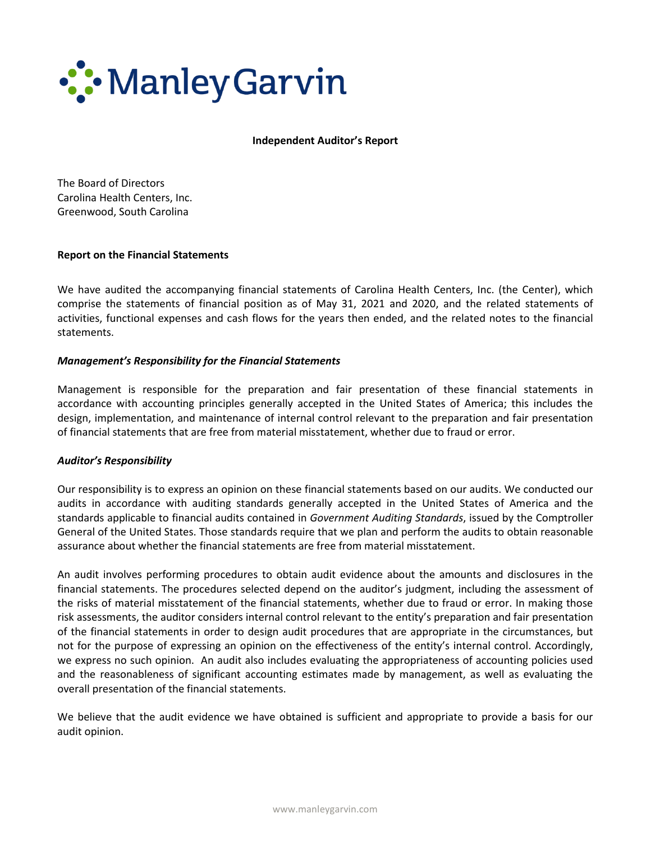

#### **Independent Auditor's Report**

The Board of Directors Carolina Health Centers, Inc. Greenwood, South Carolina

#### **Report on the Financial Statements**

We have audited the accompanying financial statements of Carolina Health Centers, Inc. (the Center), which comprise the statements of financial position as of May 31, 2021 and 2020, and the related statements of activities, functional expenses and cash flows for the years then ended, and the related notes to the financial statements.

#### *Management's Responsibility for the Financial Statements*

Management is responsible for the preparation and fair presentation of these financial statements in accordance with accounting principles generally accepted in the United States of America; this includes the design, implementation, and maintenance of internal control relevant to the preparation and fair presentation of financial statements that are free from material misstatement, whether due to fraud or error.

#### *Auditor's Responsibility*

Our responsibility is to express an opinion on these financial statements based on our audits. We conducted our audits in accordance with auditing standards generally accepted in the United States of America and the standards applicable to financial audits contained in *Government Auditing Standards*, issued by the Comptroller General of the United States. Those standards require that we plan and perform the audits to obtain reasonable assurance about whether the financial statements are free from material misstatement.

An audit involves performing procedures to obtain audit evidence about the amounts and disclosures in the financial statements. The procedures selected depend on the auditor's judgment, including the assessment of the risks of material misstatement of the financial statements, whether due to fraud or error. In making those risk assessments, the auditor considers internal control relevant to the entity's preparation and fair presentation of the financial statements in order to design audit procedures that are appropriate in the circumstances, but not for the purpose of expressing an opinion on the effectiveness of the entity's internal control. Accordingly, we express no such opinion. An audit also includes evaluating the appropriateness of accounting policies used and the reasonableness of significant accounting estimates made by management, as well as evaluating the overall presentation of the financial statements.

We believe that the audit evidence we have obtained is sufficient and appropriate to provide a basis for our audit opinion.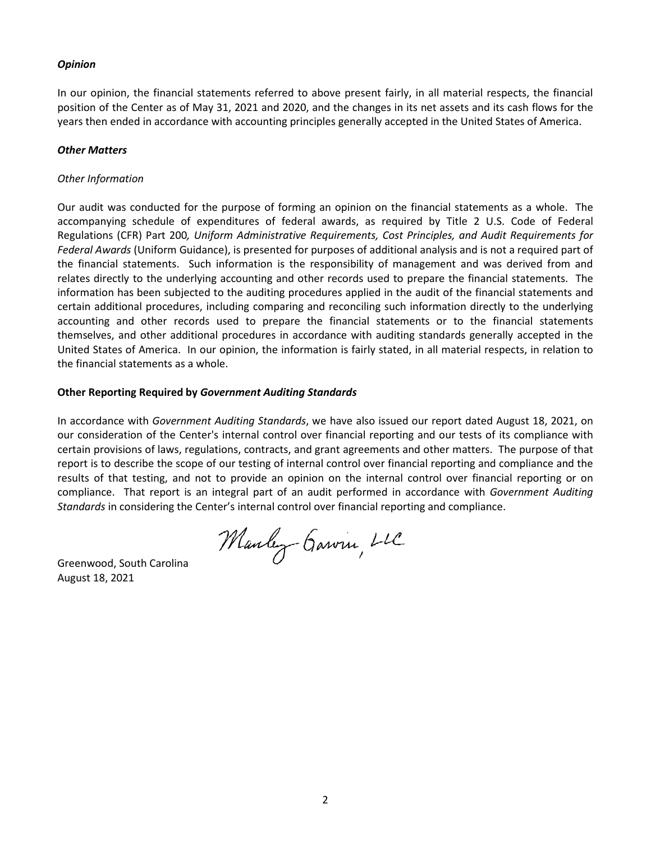#### *Opinion*

In our opinion, the financial statements referred to above present fairly, in all material respects, the financial position of the Center as of May 31, 2021 and 2020, and the changes in its net assets and its cash flows for the years then ended in accordance with accounting principles generally accepted in the United States of America.

#### *Other Matters*

#### *Other Information*

Our audit was conducted for the purpose of forming an opinion on the financial statements as a whole. The accompanying schedule of expenditures of federal awards, as required by Title 2 U.S. Code of Federal Regulations (CFR) Part 200*, Uniform Administrative Requirements, Cost Principles, and Audit Requirements for Federal Awards* (Uniform Guidance), is presented for purposes of additional analysis and is not a required part of the financial statements. Such information is the responsibility of management and was derived from and relates directly to the underlying accounting and other records used to prepare the financial statements. The information has been subjected to the auditing procedures applied in the audit of the financial statements and certain additional procedures, including comparing and reconciling such information directly to the underlying accounting and other records used to prepare the financial statements or to the financial statements themselves, and other additional procedures in accordance with auditing standards generally accepted in the United States of America. In our opinion, the information is fairly stated, in all material respects, in relation to the financial statements as a whole.

#### **Other Reporting Required by** *Government Auditing Standards*

In accordance with *Government Auditing Standards*, we have also issued our report dated August 18, 2021, on our consideration of the Center's internal control over financial reporting and our tests of its compliance with certain provisions of laws, regulations, contracts, and grant agreements and other matters. The purpose of that report is to describe the scope of our testing of internal control over financial reporting and compliance and the results of that testing, and not to provide an opinion on the internal control over financial reporting or on compliance. That report is an integral part of an audit performed in accordance with *Government Auditing Standards* in considering the Center's internal control over financial reporting and compliance.

Manley Gawin, LLC

Greenwood, South Carolina August 18, 2021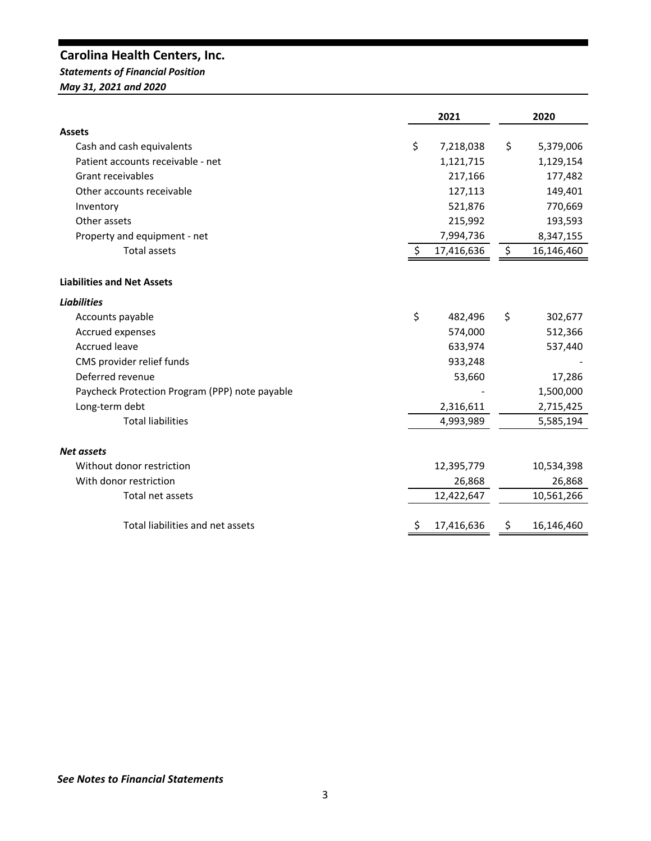## *Statements of Financial Position*

*May 31, 2021 and 2020*

|                                                |    | 2021       |                     | 2020       |
|------------------------------------------------|----|------------|---------------------|------------|
| <b>Assets</b>                                  |    |            |                     |            |
| Cash and cash equivalents                      | \$ | 7,218,038  | \$                  | 5,379,006  |
| Patient accounts receivable - net              |    | 1,121,715  |                     | 1,129,154  |
| Grant receivables                              |    | 217,166    |                     | 177,482    |
| Other accounts receivable                      |    | 127,113    |                     | 149,401    |
| Inventory                                      |    | 521,876    |                     | 770,669    |
| Other assets                                   |    | 215,992    |                     | 193,593    |
| Property and equipment - net                   |    | 7,994,736  |                     | 8,347,155  |
| <b>Total assets</b>                            | Ś. | 17,416,636 | $\ddot{\mathsf{S}}$ | 16,146,460 |
| <b>Liabilities and Net Assets</b>              |    |            |                     |            |
| <b>Liabilities</b>                             |    |            |                     |            |
| Accounts payable                               | \$ | 482,496    | \$                  | 302,677    |
| Accrued expenses                               |    | 574,000    |                     | 512,366    |
| <b>Accrued leave</b>                           |    | 633,974    |                     | 537,440    |
| CMS provider relief funds                      |    | 933,248    |                     |            |
| Deferred revenue                               |    | 53,660     |                     | 17,286     |
| Paycheck Protection Program (PPP) note payable |    |            |                     | 1,500,000  |
| Long-term debt                                 |    | 2,316,611  |                     | 2,715,425  |
| <b>Total liabilities</b>                       |    | 4,993,989  |                     | 5,585,194  |
| <b>Net assets</b>                              |    |            |                     |            |
| Without donor restriction                      |    | 12,395,779 |                     | 10,534,398 |
| With donor restriction                         |    | 26,868     |                     | 26,868     |
| Total net assets                               |    | 12,422,647 |                     | 10,561,266 |
| Total liabilities and net assets               | Ş  | 17,416,636 | Ş                   | 16,146,460 |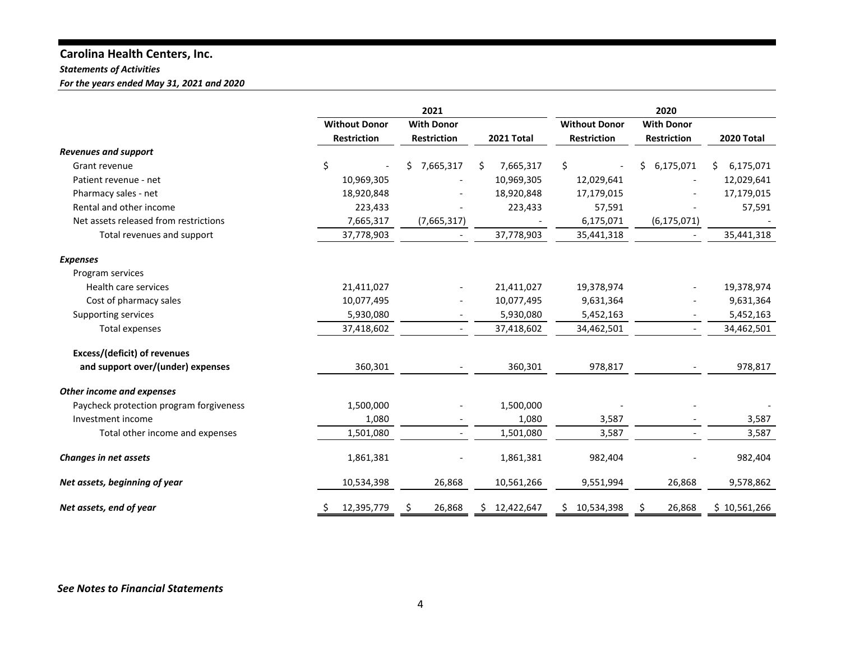### *Statements of Activities*

#### *For the years ended May 31, 2021 and 2020*

|                                         |                      | 2021                     |                |                      | 2020               |                 |
|-----------------------------------------|----------------------|--------------------------|----------------|----------------------|--------------------|-----------------|
|                                         | <b>Without Donor</b> | <b>With Donor</b>        |                | <b>Without Donor</b> | <b>With Donor</b>  |                 |
|                                         | <b>Restriction</b>   | <b>Restriction</b>       | 2021 Total     | <b>Restriction</b>   | <b>Restriction</b> | 2020 Total      |
| <b>Revenues and support</b>             |                      |                          |                |                      |                    |                 |
| Grant revenue                           | \$                   | 7,665,317<br>Ś           | 7,665,317<br>S | \$                   | 6,175,071<br>Ś.    | 6,175,071<br>S. |
| Patient revenue - net                   | 10,969,305           |                          | 10,969,305     | 12,029,641           |                    | 12,029,641      |
| Pharmacy sales - net                    | 18,920,848           |                          | 18,920,848     | 17,179,015           |                    | 17,179,015      |
| Rental and other income                 | 223,433              |                          | 223,433        | 57,591               |                    | 57,591          |
| Net assets released from restrictions   | 7,665,317            | (7,665,317)              |                | 6,175,071            | (6, 175, 071)      |                 |
| Total revenues and support              | 37,778,903           | $\overline{\phantom{0}}$ | 37,778,903     | 35,441,318           |                    | 35,441,318      |
| <b>Expenses</b>                         |                      |                          |                |                      |                    |                 |
| Program services                        |                      |                          |                |                      |                    |                 |
| Health care services                    | 21,411,027           |                          | 21,411,027     | 19,378,974           |                    | 19,378,974      |
| Cost of pharmacy sales                  | 10,077,495           |                          | 10,077,495     | 9,631,364            |                    | 9,631,364       |
| Supporting services                     | 5,930,080            |                          | 5,930,080      | 5,452,163            |                    | 5,452,163       |
| <b>Total expenses</b>                   | 37,418,602           |                          | 37,418,602     | 34,462,501           |                    | 34,462,501      |
| Excess/(deficit) of revenues            |                      |                          |                |                      |                    |                 |
| and support over/(under) expenses       | 360,301              |                          | 360,301        | 978,817              |                    | 978,817         |
| Other income and expenses               |                      |                          |                |                      |                    |                 |
| Paycheck protection program forgiveness | 1,500,000            |                          | 1,500,000      |                      |                    |                 |
| Investment income                       | 1,080                |                          | 1,080          | 3,587                |                    | 3,587           |
| Total other income and expenses         | 1,501,080            |                          | 1,501,080      | 3,587                |                    | 3,587           |
| <b>Changes in net assets</b>            | 1,861,381            |                          | 1,861,381      | 982,404              |                    | 982,404         |
| Net assets, beginning of year           | 10,534,398           | 26,868                   | 10,561,266     | 9,551,994            | 26,868             | 9,578,862       |
| Net assets, end of year                 | 12,395,779<br>S      | 26,868<br>\$             | \$12,422,647   | \$10,534,398         | 26,868<br>S        | \$10,561,266    |

### *See Notes to Financial Statements*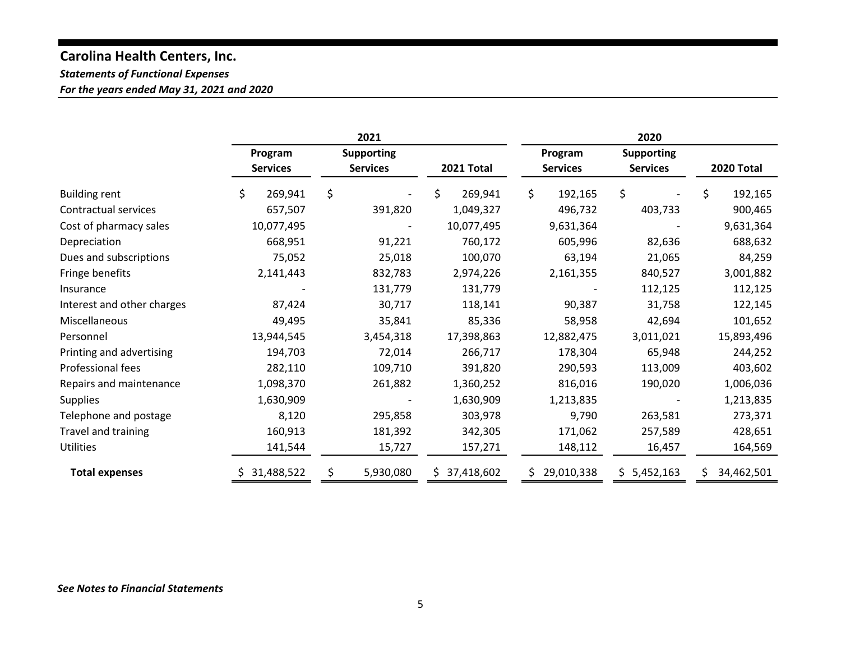# *Statements of Functional Expenses*

## *For the years ended May 31, 2021 and 2020*

|                            |                 | 2021              | 2020             |                 |                   |              |
|----------------------------|-----------------|-------------------|------------------|-----------------|-------------------|--------------|
|                            | Program         | <b>Supporting</b> |                  | Program         | <b>Supporting</b> |              |
|                            | <b>Services</b> | <b>Services</b>   | 2021 Total       | <b>Services</b> | <b>Services</b>   | 2020 Total   |
| <b>Building rent</b>       | 269,941<br>S    | \$                | 269,941<br>\$    | \$<br>192,165   | \$                | 192,165<br>S |
| Contractual services       | 657,507         | 391,820           | 1,049,327        | 496,732         | 403,733           | 900,465      |
| Cost of pharmacy sales     | 10,077,495      |                   | 10,077,495       | 9,631,364       |                   | 9,631,364    |
| Depreciation               | 668,951         | 91,221            | 760,172          | 605,996         | 82,636            | 688,632      |
| Dues and subscriptions     | 75,052          | 25,018            | 100,070          | 63,194          | 21,065            | 84,259       |
| Fringe benefits            | 2,141,443       | 832,783           | 2,974,226        | 2,161,355       | 840,527           | 3,001,882    |
| Insurance                  |                 | 131,779           | 131,779          |                 | 112,125           | 112,125      |
| Interest and other charges | 87,424          | 30,717            | 118,141          | 90,387          | 31,758            | 122,145      |
| Miscellaneous              | 49,495          | 35,841            | 85,336           | 58,958          | 42,694            | 101,652      |
| Personnel                  | 13,944,545      | 3,454,318         | 17,398,863       | 12,882,475      | 3,011,021         | 15,893,496   |
| Printing and advertising   | 194,703         | 72,014            | 266,717          | 178,304         | 65,948            | 244,252      |
| Professional fees          | 282,110         | 109,710           | 391,820          | 290,593         | 113,009           | 403,602      |
| Repairs and maintenance    | 1,098,370       | 261,882           | 1,360,252        | 816,016         | 190,020           | 1,006,036    |
| <b>Supplies</b>            | 1,630,909       |                   | 1,630,909        | 1,213,835       |                   | 1,213,835    |
| Telephone and postage      | 8,120           | 295,858           | 303,978          | 9,790           | 263,581           | 273,371      |
| Travel and training        | 160,913         | 181,392           | 342,305          | 171,062         | 257,589           | 428,651      |
| <b>Utilities</b>           | 141,544         | 15,727            | 157,271          | 148,112         | 16,457            | 164,569      |
| <b>Total expenses</b>      | 31,488,522      | 5,930,080         | 37,418,602<br>S. | 29,010,338      | \$5,452,163       | 34,462,501   |

### *See Notes to Financial Statements*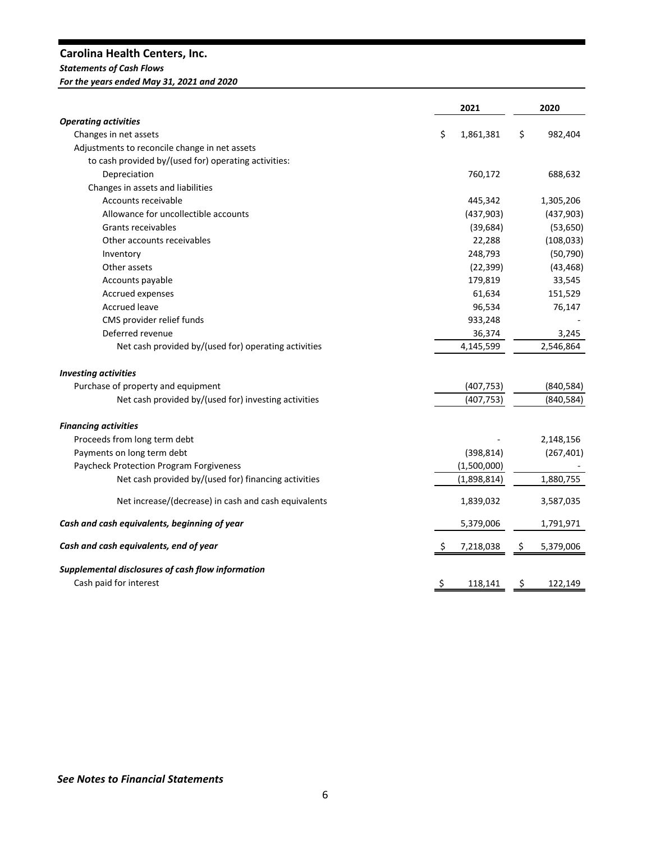*Statements of Cash Flows*

*For the years ended May 31, 2021 and 2020*

|                                                      | 2021 |             | 2020 |            |
|------------------------------------------------------|------|-------------|------|------------|
| <b>Operating activities</b>                          |      |             |      |            |
| Changes in net assets                                | \$   | 1,861,381   | \$   | 982,404    |
| Adjustments to reconcile change in net assets        |      |             |      |            |
| to cash provided by/(used for) operating activities: |      |             |      |            |
| Depreciation                                         |      | 760,172     |      | 688,632    |
| Changes in assets and liabilities                    |      |             |      |            |
| Accounts receivable                                  |      | 445,342     |      | 1,305,206  |
| Allowance for uncollectible accounts                 |      | (437,903)   |      | (437,903)  |
| Grants receivables                                   |      | (39, 684)   |      | (53, 650)  |
| Other accounts receivables                           |      | 22,288      |      | (108, 033) |
| Inventory                                            |      | 248,793     |      | (50, 790)  |
| Other assets                                         |      | (22, 399)   |      | (43, 468)  |
| Accounts payable                                     |      | 179,819     |      | 33,545     |
| Accrued expenses                                     |      | 61,634      |      | 151,529    |
| <b>Accrued leave</b>                                 |      | 96,534      |      | 76,147     |
| CMS provider relief funds                            |      | 933,248     |      |            |
| Deferred revenue                                     |      | 36,374      |      | 3,245      |
| Net cash provided by/(used for) operating activities |      | 4,145,599   |      | 2,546,864  |
| <b>Investing activities</b>                          |      |             |      |            |
| Purchase of property and equipment                   |      | (407, 753)  |      | (840, 584) |
| Net cash provided by/(used for) investing activities |      | (407, 753)  |      | (840, 584) |
| <b>Financing activities</b>                          |      |             |      |            |
| Proceeds from long term debt                         |      |             |      | 2,148,156  |
| Payments on long term debt                           |      | (398, 814)  |      | (267, 401) |
| Paycheck Protection Program Forgiveness              |      | (1,500,000) |      |            |
| Net cash provided by/(used for) financing activities |      | (1,898,814) |      | 1,880,755  |
| Net increase/(decrease) in cash and cash equivalents |      | 1,839,032   |      | 3,587,035  |
| Cash and cash equivalents, beginning of year         |      | 5,379,006   |      | 1,791,971  |
| Cash and cash equivalents, end of year               | \$   | 7,218,038   | \$   | 5,379,006  |
| Supplemental disclosures of cash flow information    |      |             |      |            |
| Cash paid for interest                               | \$   | 118,141     | \$   | 122,149    |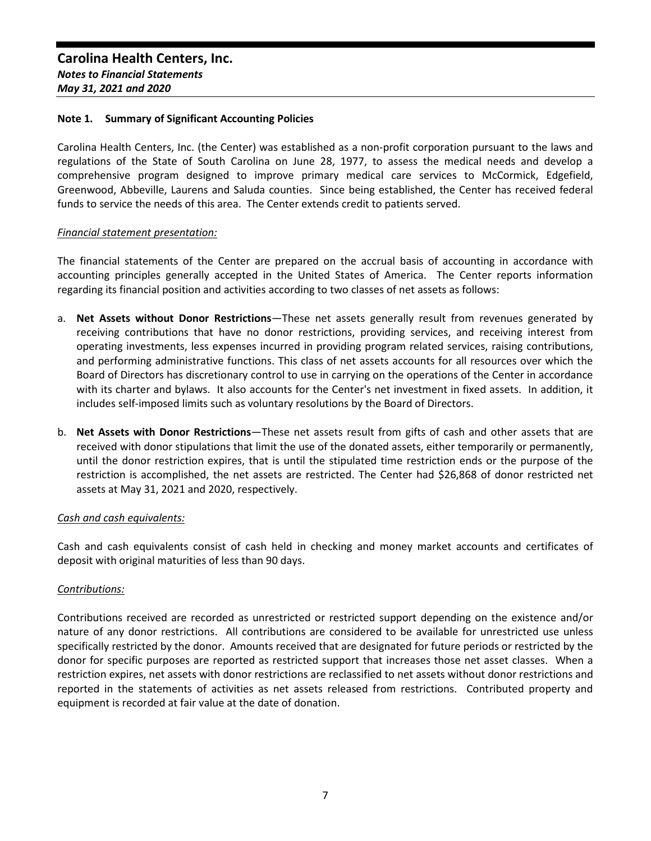#### **Note 1. Summary of Significant Accounting Policies**

Carolina Health Centers, Inc. (the Center) was established as a non-profit corporation pursuant to the laws and regulations of the State of South Carolina on June 28, 1977, to assess the medical needs and develop a comprehensive program designed to improve primary medical care services to McCormick, Edgefield, Greenwood, Abbeville, Laurens and Saluda counties. Since being established, the Center has received federal funds to service the needs of this area. The Center extends credit to patients served.

#### *Financial statement presentation:*

The financial statements of the Center are prepared on the accrual basis of accounting in accordance with accounting principles generally accepted in the United States of America. The Center reports information regarding its financial position and activities according to two classes of net assets as follows:

- a. **Net Assets without Donor Restrictions**—These net assets generally result from revenues generated by receiving contributions that have no donor restrictions, providing services, and receiving interest from operating investments, less expenses incurred in providing program related services, raising contributions, and performing administrative functions. This class of net assets accounts for all resources over which the Board of Directors has discretionary control to use in carrying on the operations of the Center in accordance with its charter and bylaws. It also accounts for the Center's net investment in fixed assets. In addition, it includes self-imposed limits such as voluntary resolutions by the Board of Directors.
- b. **Net Assets with Donor Restrictions**—These net assets result from gifts of cash and other assets that are received with donor stipulations that limit the use of the donated assets, either temporarily or permanently, until the donor restriction expires, that is until the stipulated time restriction ends or the purpose of the restriction is accomplished, the net assets are restricted. The Center had \$26,868 of donor restricted net assets at May 31, 2021 and 2020, respectively.

#### *Cash and cash equivalents:*

Cash and cash equivalents consist of cash held in checking and money market accounts and certificates of deposit with original maturities of less than 90 days.

#### *Contributions:*

Contributions received are recorded as unrestricted or restricted support depending on the existence and/or nature of any donor restrictions. All contributions are considered to be available for unrestricted use unless specifically restricted by the donor. Amounts received that are designated for future periods or restricted by the donor for specific purposes are reported as restricted support that increases those net asset classes. When a restriction expires, net assets with donor restrictions are reclassified to net assets without donor restrictions and reported in the statements of activities as net assets released from restrictions. Contributed property and equipment is recorded at fair value at the date of donation.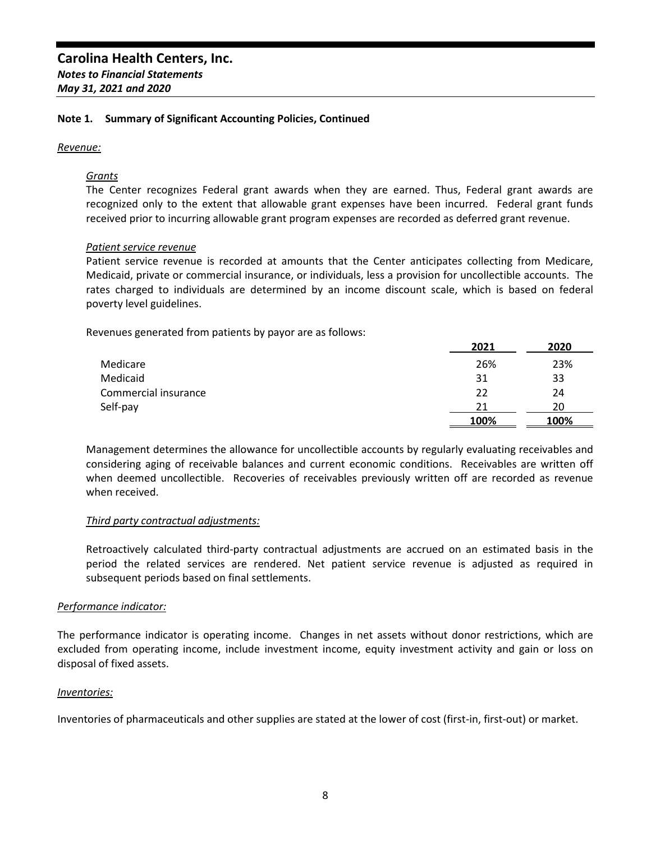#### **Note 1. Summary of Significant Accounting Policies, Continued**

#### *Revenue:*

#### *Grants*

The Center recognizes Federal grant awards when they are earned. Thus, Federal grant awards are recognized only to the extent that allowable grant expenses have been incurred. Federal grant funds received prior to incurring allowable grant program expenses are recorded as deferred grant revenue.

#### *Patient service revenue*

Patient service revenue is recorded at amounts that the Center anticipates collecting from Medicare, Medicaid, private or commercial insurance, or individuals, less a provision for uncollectible accounts. The rates charged to individuals are determined by an income discount scale, which is based on federal poverty level guidelines.

Revenues generated from patients by payor are as follows:

|                      | 2021 | 2020 |
|----------------------|------|------|
| Medicare             | 26%  | 23%  |
| Medicaid             | 31   | 33   |
| Commercial insurance | 22   | 24   |
| Self-pay             | 21   | 20   |
|                      | 100% | 100% |

Management determines the allowance for uncollectible accounts by regularly evaluating receivables and considering aging of receivable balances and current economic conditions. Receivables are written off when deemed uncollectible. Recoveries of receivables previously written off are recorded as revenue when received.

#### *Third party contractual adjustments:*

Retroactively calculated third-party contractual adjustments are accrued on an estimated basis in the period the related services are rendered. Net patient service revenue is adjusted as required in subsequent periods based on final settlements.

#### *Performance indicator:*

The performance indicator is operating income. Changes in net assets without donor restrictions, which are excluded from operating income, include investment income, equity investment activity and gain or loss on disposal of fixed assets.

#### *Inventories:*

Inventories of pharmaceuticals and other supplies are stated at the lower of cost (first-in, first-out) or market.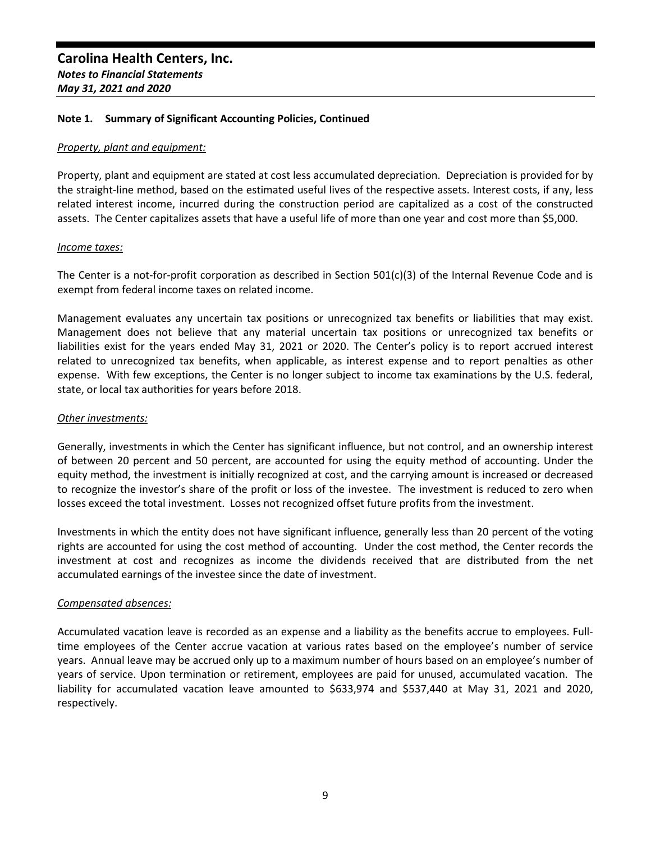#### **Note 1. Summary of Significant Accounting Policies, Continued**

#### *Property, plant and equipment:*

Property, plant and equipment are stated at cost less accumulated depreciation. Depreciation is provided for by the straight-line method, based on the estimated useful lives of the respective assets. Interest costs, if any, less related interest income, incurred during the construction period are capitalized as a cost of the constructed assets. The Center capitalizes assets that have a useful life of more than one year and cost more than \$5,000.

#### *Income taxes:*

The Center is a not-for-profit corporation as described in Section 501(c)(3) of the Internal Revenue Code and is exempt from federal income taxes on related income.

Management evaluates any uncertain tax positions or unrecognized tax benefits or liabilities that may exist. Management does not believe that any material uncertain tax positions or unrecognized tax benefits or liabilities exist for the years ended May 31, 2021 or 2020. The Center's policy is to report accrued interest related to unrecognized tax benefits, when applicable, as interest expense and to report penalties as other expense. With few exceptions, the Center is no longer subject to income tax examinations by the U.S. federal, state, or local tax authorities for years before 2018.

#### *Other investments:*

Generally, investments in which the Center has significant influence, but not control, and an ownership interest of between 20 percent and 50 percent, are accounted for using the equity method of accounting. Under the equity method, the investment is initially recognized at cost, and the carrying amount is increased or decreased to recognize the investor's share of the profit or loss of the investee. The investment is reduced to zero when losses exceed the total investment. Losses not recognized offset future profits from the investment.

Investments in which the entity does not have significant influence, generally less than 20 percent of the voting rights are accounted for using the cost method of accounting. Under the cost method, the Center records the investment at cost and recognizes as income the dividends received that are distributed from the net accumulated earnings of the investee since the date of investment.

#### *Compensated absences:*

Accumulated vacation leave is recorded as an expense and a liability as the benefits accrue to employees. Fulltime employees of the Center accrue vacation at various rates based on the employee's number of service years. Annual leave may be accrued only up to a maximum number of hours based on an employee's number of years of service. Upon termination or retirement, employees are paid for unused, accumulated vacation. The liability for accumulated vacation leave amounted to \$633,974 and \$537,440 at May 31, 2021 and 2020, respectively.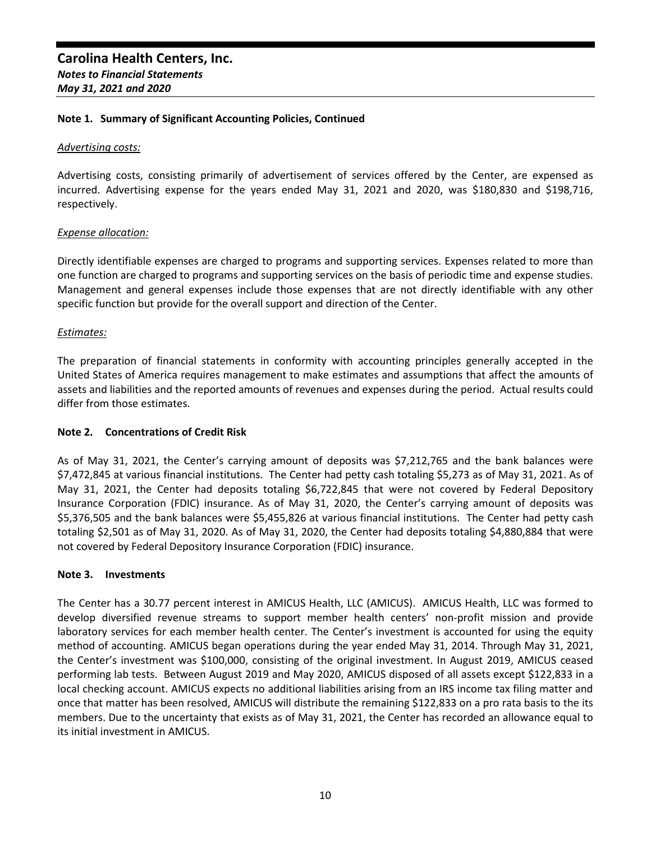#### **Note 1. Summary of Significant Accounting Policies, Continued**

#### *Advertising costs:*

Advertising costs, consisting primarily of advertisement of services offered by the Center, are expensed as incurred. Advertising expense for the years ended May 31, 2021 and 2020, was \$180,830 and \$198,716, respectively.

#### *Expense allocation:*

Directly identifiable expenses are charged to programs and supporting services. Expenses related to more than one function are charged to programs and supporting services on the basis of periodic time and expense studies. Management and general expenses include those expenses that are not directly identifiable with any other specific function but provide for the overall support and direction of the Center.

#### *Estimates:*

The preparation of financial statements in conformity with accounting principles generally accepted in the United States of America requires management to make estimates and assumptions that affect the amounts of assets and liabilities and the reported amounts of revenues and expenses during the period. Actual results could differ from those estimates.

#### **Note 2. Concentrations of Credit Risk**

As of May 31, 2021, the Center's carrying amount of deposits was \$7,212,765 and the bank balances were \$7,472,845 at various financial institutions. The Center had petty cash totaling \$5,273 as of May 31, 2021. As of May 31, 2021, the Center had deposits totaling \$6,722,845 that were not covered by Federal Depository Insurance Corporation (FDIC) insurance. As of May 31, 2020, the Center's carrying amount of deposits was \$5,376,505 and the bank balances were \$5,455,826 at various financial institutions. The Center had petty cash totaling \$2,501 as of May 31, 2020. As of May 31, 2020, the Center had deposits totaling \$4,880,884 that were not covered by Federal Depository Insurance Corporation (FDIC) insurance.

#### **Note 3. Investments**

The Center has a 30.77 percent interest in AMICUS Health, LLC (AMICUS). AMICUS Health, LLC was formed to develop diversified revenue streams to support member health centers' non-profit mission and provide laboratory services for each member health center. The Center's investment is accounted for using the equity method of accounting. AMICUS began operations during the year ended May 31, 2014. Through May 31, 2021, the Center's investment was \$100,000, consisting of the original investment. In August 2019, AMICUS ceased performing lab tests. Between August 2019 and May 2020, AMICUS disposed of all assets except \$122,833 in a local checking account. AMICUS expects no additional liabilities arising from an IRS income tax filing matter and once that matter has been resolved, AMICUS will distribute the remaining \$122,833 on a pro rata basis to the its members. Due to the uncertainty that exists as of May 31, 2021, the Center has recorded an allowance equal to its initial investment in AMICUS.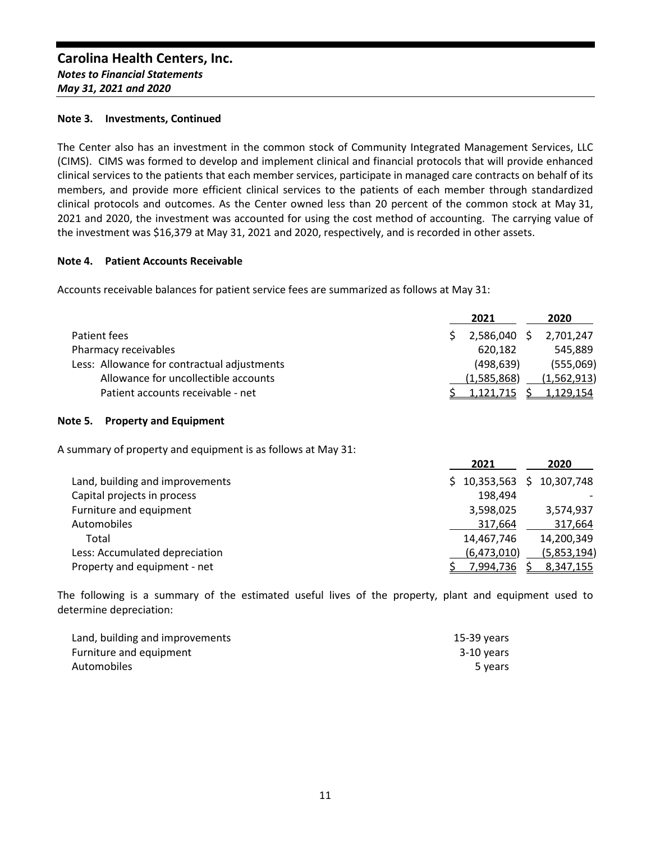#### **Note 3. Investments, Continued**

The Center also has an investment in the common stock of Community Integrated Management Services, LLC (CIMS). CIMS was formed to develop and implement clinical and financial protocols that will provide enhanced clinical services to the patients that each member services, participate in managed care contracts on behalf of its members, and provide more efficient clinical services to the patients of each member through standardized clinical protocols and outcomes. As the Center owned less than 20 percent of the common stock at May 31, 2021 and 2020, the investment was accounted for using the cost method of accounting. The carrying value of the investment was \$16,379 at May 31, 2021 and 2020, respectively, and is recorded in other assets.

#### **Note 4. Patient Accounts Receivable**

Accounts receivable balances for patient service fees are summarized as follows at May 31:

|                                             | 2021         | 2020        |
|---------------------------------------------|--------------|-------------|
| Patient fees                                | 2,586,040 \$ | 2,701,247   |
| Pharmacy receivables                        | 620.182      | 545,889     |
| Less: Allowance for contractual adjustments | (498, 639)   | (555,069)   |
| Allowance for uncollectible accounts        | (1,585,868)  | (1,562,913) |
| Patient accounts receivable - net           | 1,121,715    | 1,129,154   |

#### **Note 5. Property and Equipment**

A summary of property and equipment is as follows at May 31:

|                                 | 2021             | 2020             |
|---------------------------------|------------------|------------------|
| Land, building and improvements | 10,353,563<br>S. | S.<br>10,307,748 |
| Capital projects in process     | 198,494          |                  |
| Furniture and equipment         | 3,598,025        | 3,574,937        |
| Automobiles                     | 317.664          | 317,664          |
| Total                           | 14,467,746       | 14,200,349       |
| Less: Accumulated depreciation  | (6,473,010)      | (5,853,194)      |
| Property and equipment - net    | 7,994,736        | 8,347,155        |

The following is a summary of the estimated useful lives of the property, plant and equipment used to determine depreciation:

| Land, building and improvements | 15-39 vears |
|---------------------------------|-------------|
| Furniture and equipment         | 3-10 years  |
| Automobiles                     | 5 years     |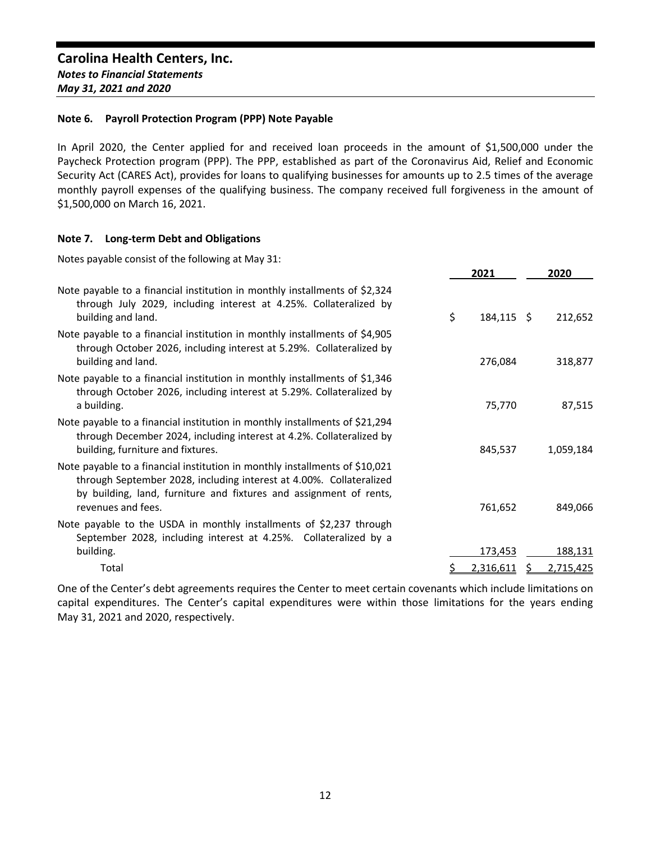#### **Note 6. Payroll Protection Program (PPP) Note Payable**

In April 2020, the Center applied for and received loan proceeds in the amount of \$1,500,000 under the Paycheck Protection program (PPP). The PPP, established as part of the Coronavirus Aid, Relief and Economic Security Act (CARES Act), provides for loans to qualifying businesses for amounts up to 2.5 times of the average monthly payroll expenses of the qualifying business. The company received full forgiveness in the amount of \$1,500,000 on March 16, 2021.

#### **Note 7. Long-term Debt and Obligations**

Notes payable consist of the following at May 31:

|                                                                                                                                                                                                                                                | 2021               | 2020             |
|------------------------------------------------------------------------------------------------------------------------------------------------------------------------------------------------------------------------------------------------|--------------------|------------------|
| Note payable to a financial institution in monthly installments of \$2,324<br>through July 2029, including interest at 4.25%. Collateralized by<br>building and land.                                                                          | \$<br>$184,115$ \$ | 212,652          |
| Note payable to a financial institution in monthly installments of \$4,905<br>through October 2026, including interest at 5.29%. Collateralized by<br>building and land.                                                                       | 276,084            | 318,877          |
| Note payable to a financial institution in monthly installments of \$1,346<br>through October 2026, including interest at 5.29%. Collateralized by<br>a building.                                                                              | 75,770             | 87,515           |
| Note payable to a financial institution in monthly installments of \$21,294<br>through December 2024, including interest at 4.2%. Collateralized by<br>building, furniture and fixtures.                                                       | 845,537            | 1,059,184        |
| Note payable to a financial institution in monthly installments of \$10,021<br>through September 2028, including interest at 4.00%. Collateralized<br>by building, land, furniture and fixtures and assignment of rents,<br>revenues and fees. | 761,652            | 849,066          |
| Note payable to the USDA in monthly installments of \$2,237 through<br>September 2028, including interest at 4.25%. Collateralized by a<br>building.                                                                                           | 173,453            | 188,131          |
| Total                                                                                                                                                                                                                                          | <u>2,316,611</u>   | <u>2,715,425</u> |

One of the Center's debt agreements requires the Center to meet certain covenants which include limitations on capital expenditures. The Center's capital expenditures were within those limitations for the years ending May 31, 2021 and 2020, respectively.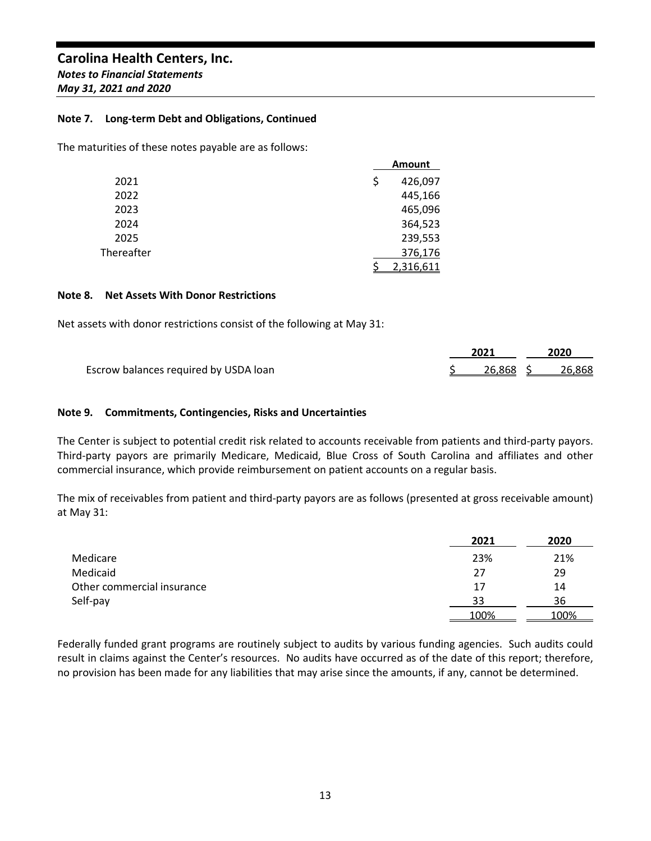#### **Note 7. Long-term Debt and Obligations, Continued**

The maturities of these notes payable are as follows:

|            | <b>Amount</b> |
|------------|---------------|
| 2021       | 426,097<br>\$ |
| 2022       | 445,166       |
| 2023       | 465,096       |
| 2024       | 364,523       |
| 2025       | 239,553       |
| Thereafter | 376,176       |
|            | 2,316,611     |

#### **Note 8. Net Assets With Donor Restrictions**

Net assets with donor restrictions consist of the following at May 31:

|                                       | 2021      | 2020   |
|---------------------------------------|-----------|--------|
| Escrow balances required by USDA loan | 26,868 \$ | 26,868 |

#### **Note 9. Commitments, Contingencies, Risks and Uncertainties**

The Center is subject to potential credit risk related to accounts receivable from patients and third-party payors. Third-party payors are primarily Medicare, Medicaid, Blue Cross of South Carolina and affiliates and other commercial insurance, which provide reimbursement on patient accounts on a regular basis.

The mix of receivables from patient and third-party payors are as follows (presented at gross receivable amount) at May 31:

|                            | 2021 | 2020        |
|----------------------------|------|-------------|
| Medicare                   | 23%  | 21%         |
| Medicaid                   | 27   | 29          |
| Other commercial insurance | 17   | 14          |
| Self-pay                   | 33   | 36          |
|                            | 100% | <u>100%</u> |

Federally funded grant programs are routinely subject to audits by various funding agencies. Such audits could result in claims against the Center's resources. No audits have occurred as of the date of this report; therefore, no provision has been made for any liabilities that may arise since the amounts, if any, cannot be determined.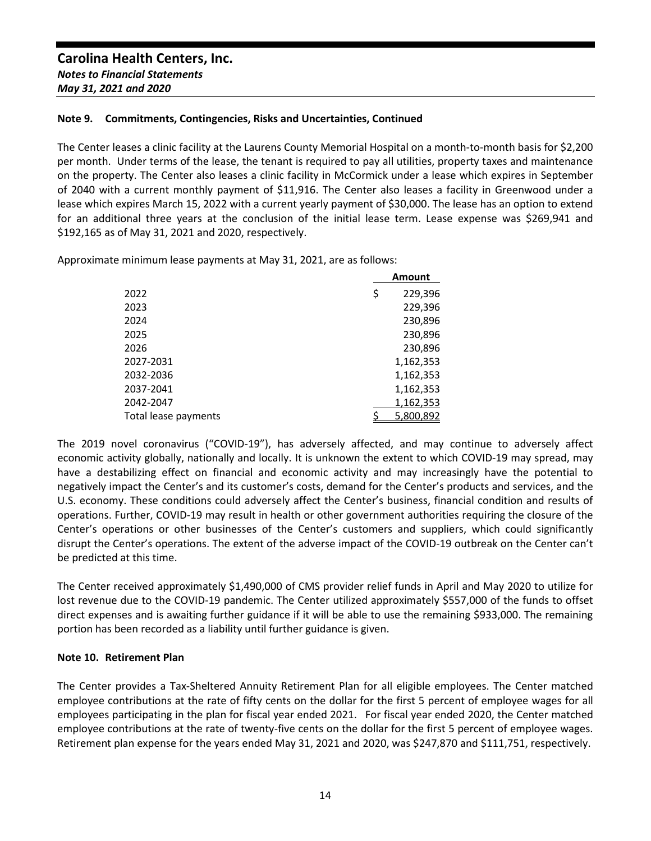### **Note 9. Commitments, Contingencies, Risks and Uncertainties, Continued**

The Center leases a clinic facility at the Laurens County Memorial Hospital on a month-to-month basis for \$2,200 per month. Under terms of the lease, the tenant is required to pay all utilities, property taxes and maintenance on the property. The Center also leases a clinic facility in McCormick under a lease which expires in September of 2040 with a current monthly payment of \$11,916. The Center also leases a facility in Greenwood under a lease which expires March 15, 2022 with a current yearly payment of \$30,000. The lease has an option to extend for an additional three years at the conclusion of the initial lease term. Lease expense was \$269,941 and \$192,165 as of May 31, 2021 and 2020, respectively.

Approximate minimum lease payments at May 31, 2021, are as follows:

|                      | <b>Amount</b> |
|----------------------|---------------|
| 2022                 | \$<br>229,396 |
| 2023                 | 229,396       |
| 2024                 | 230,896       |
| 2025                 | 230,896       |
| 2026                 | 230,896       |
| 2027-2031            | 1,162,353     |
| 2032-2036            | 1,162,353     |
| 2037-2041            | 1,162,353     |
| 2042-2047            | 1,162,353     |
| Total lease payments | 5,800,892     |

The 2019 novel coronavirus ("COVID-19"), has adversely affected, and may continue to adversely affect economic activity globally, nationally and locally. It is unknown the extent to which COVID-19 may spread, may have a destabilizing effect on financial and economic activity and may increasingly have the potential to negatively impact the Center's and its customer's costs, demand for the Center's products and services, and the U.S. economy. These conditions could adversely affect the Center's business, financial condition and results of operations. Further, COVID-19 may result in health or other government authorities requiring the closure of the Center's operations or other businesses of the Center's customers and suppliers, which could significantly disrupt the Center's operations. The extent of the adverse impact of the COVID-19 outbreak on the Center can't be predicted at this time.

The Center received approximately \$1,490,000 of CMS provider relief funds in April and May 2020 to utilize for lost revenue due to the COVID-19 pandemic. The Center utilized approximately \$557,000 of the funds to offset direct expenses and is awaiting further guidance if it will be able to use the remaining \$933,000. The remaining portion has been recorded as a liability until further guidance is given.

#### **Note 10. Retirement Plan**

The Center provides a Tax-Sheltered Annuity Retirement Plan for all eligible employees. The Center matched employee contributions at the rate of fifty cents on the dollar for the first 5 percent of employee wages for all employees participating in the plan for fiscal year ended 2021. For fiscal year ended 2020, the Center matched employee contributions at the rate of twenty-five cents on the dollar for the first 5 percent of employee wages. Retirement plan expense for the years ended May 31, 2021 and 2020, was \$247,870 and \$111,751, respectively.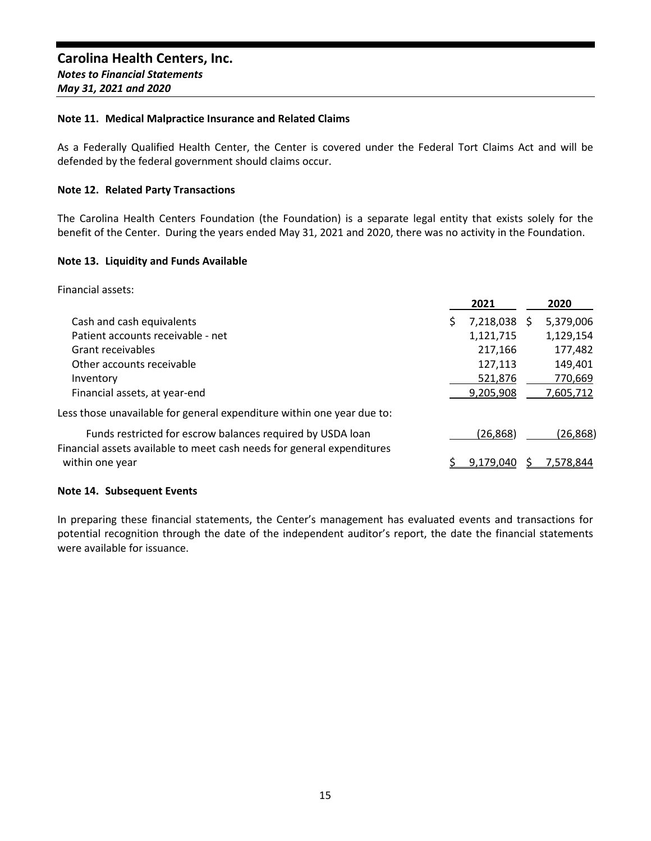#### **Note 11. Medical Malpractice Insurance and Related Claims**

As a Federally Qualified Health Center, the Center is covered under the Federal Tort Claims Act and will be defended by the federal government should claims occur.

#### **Note 12. Related Party Transactions**

The Carolina Health Centers Foundation (the Foundation) is a separate legal entity that exists solely for the benefit of the Center. During the years ended May 31, 2021 and 2020, there was no activity in the Foundation.

#### **Note 13. Liquidity and Funds Available**

Financial assets:

|                                                                        |   | 2021      |   | 2020             |
|------------------------------------------------------------------------|---|-----------|---|------------------|
| Cash and cash equivalents                                              | S | 7,218,038 | S | 5,379,006        |
| Patient accounts receivable - net                                      |   | 1,121,715 |   | 1,129,154        |
| Grant receivables                                                      |   | 217,166   |   | 177,482          |
| Other accounts receivable                                              |   | 127,113   |   | 149,401          |
| Inventory                                                              |   | 521,876   |   | 770,669          |
| Financial assets, at year-end                                          |   | 9,205,908 |   | 7,605,712        |
| Less those unavailable for general expenditure within one year due to: |   |           |   |                  |
| Funds restricted for escrow balances required by USDA loan             |   | (26, 868) |   | (26,868)         |
| Financial assets available to meet cash needs for general expenditures |   |           |   |                  |
| within one year                                                        |   | 9,179,040 |   | <u>7,578,844</u> |

#### **Note 14. Subsequent Events**

In preparing these financial statements, the Center's management has evaluated events and transactions for potential recognition through the date of the independent auditor's report, the date the financial statements were available for issuance.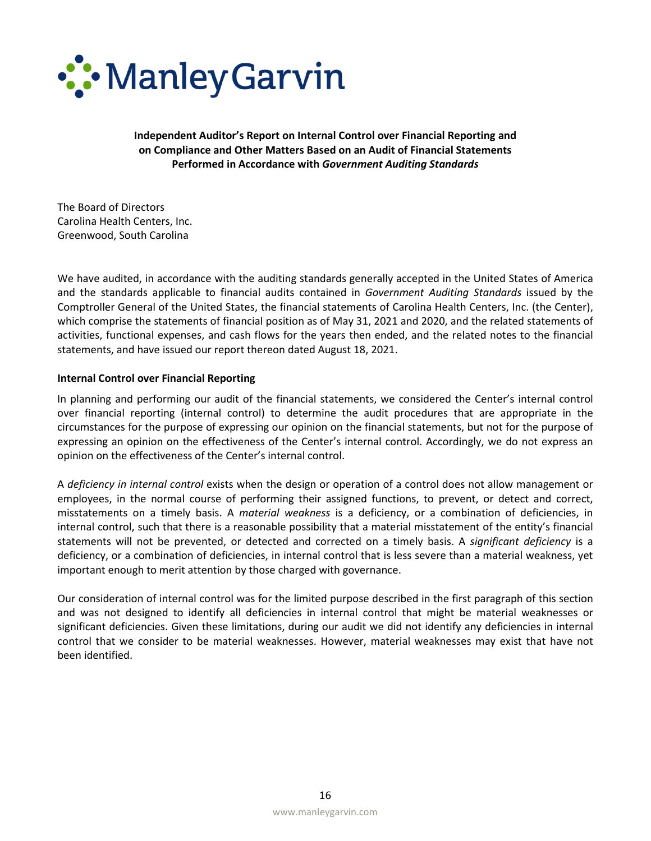

## **Independent Auditor's Report on Internal Control over Financial Reporting and on Compliance and Other Matters Based on an Audit of Financial Statements Performed in Accordance with** *Government Auditing Standards*

The Board of Directors Carolina Health Centers, Inc. Greenwood, South Carolina

We have audited, in accordance with the auditing standards generally accepted in the United States of America and the standards applicable to financial audits contained in *Government Auditing Standards* issued by the Comptroller General of the United States, the financial statements of Carolina Health Centers, Inc. (the Center), which comprise the statements of financial position as of May 31, 2021 and 2020, and the related statements of activities, functional expenses, and cash flows for the years then ended, and the related notes to the financial statements, and have issued our report thereon dated August 18, 2021.

#### **Internal Control over Financial Reporting**

In planning and performing our audit of the financial statements, we considered the Center's internal control over financial reporting (internal control) to determine the audit procedures that are appropriate in the circumstances for the purpose of expressing our opinion on the financial statements, but not for the purpose of expressing an opinion on the effectiveness of the Center's internal control. Accordingly, we do not express an opinion on the effectiveness of the Center's internal control.

A *deficiency in internal control* exists when the design or operation of a control does not allow management or employees, in the normal course of performing their assigned functions, to prevent, or detect and correct, misstatements on a timely basis. A *material weakness* is a deficiency, or a combination of deficiencies, in internal control, such that there is a reasonable possibility that a material misstatement of the entity's financial statements will not be prevented, or detected and corrected on a timely basis. A *significant deficiency* is a deficiency, or a combination of deficiencies, in internal control that is less severe than a material weakness, yet important enough to merit attention by those charged with governance.

Our consideration of internal control was for the limited purpose described in the first paragraph of this section and was not designed to identify all deficiencies in internal control that might be material weaknesses or significant deficiencies. Given these limitations, during our audit we did not identify any deficiencies in internal control that we consider to be material weaknesses. However, material weaknesses may exist that have not been identified.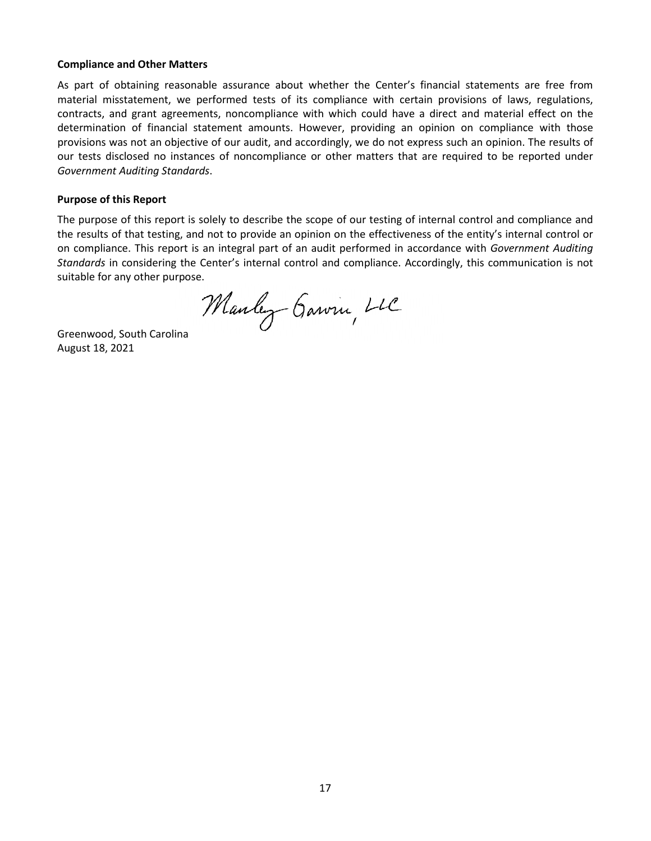#### **Compliance and Other Matters**

As part of obtaining reasonable assurance about whether the Center's financial statements are free from material misstatement, we performed tests of its compliance with certain provisions of laws, regulations, contracts, and grant agreements, noncompliance with which could have a direct and material effect on the determination of financial statement amounts. However, providing an opinion on compliance with those provisions was not an objective of our audit, and accordingly, we do not express such an opinion. The results of our tests disclosed no instances of noncompliance or other matters that are required to be reported under *Government Auditing Standards*.

#### **Purpose of this Report**

The purpose of this report is solely to describe the scope of our testing of internal control and compliance and the results of that testing, and not to provide an opinion on the effectiveness of the entity's internal control or on compliance. This report is an integral part of an audit performed in accordance with *Government Auditing Standards* in considering the Center's internal control and compliance. Accordingly, this communication is not suitable for any other purpose.

Manley-Gawin, LLC

Greenwood, South Carolina August 18, 2021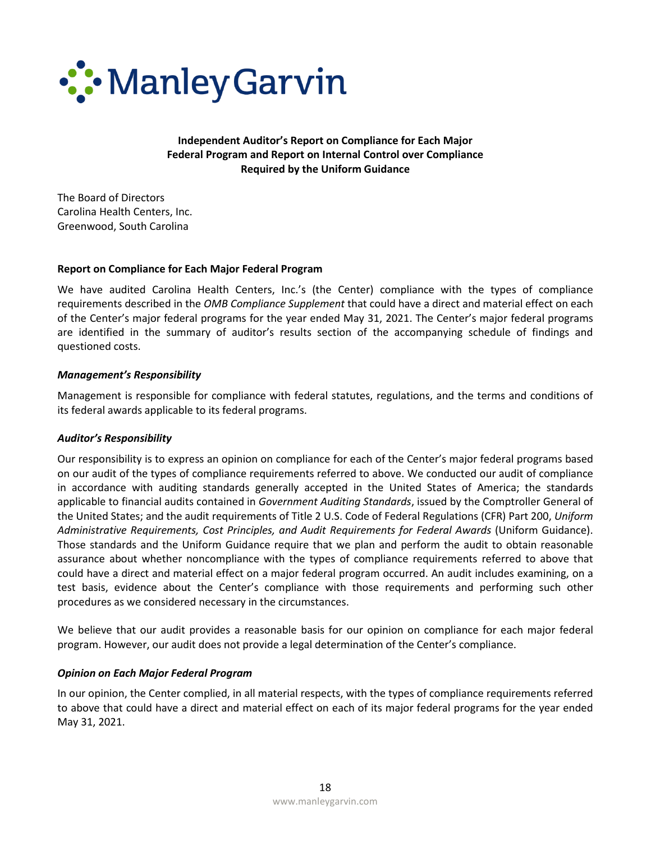

**Independent Auditor's Report on Compliance for Each Major Federal Program and Report on Internal Control over Compliance Required by the Uniform Guidance**

The Board of Directors Carolina Health Centers, Inc. Greenwood, South Carolina

#### **Report on Compliance for Each Major Federal Program**

We have audited Carolina Health Centers, Inc.'s (the Center) compliance with the types of compliance requirements described in the *OMB Compliance Supplement* that could have a direct and material effect on each of the Center's major federal programs for the year ended May 31, 2021. The Center's major federal programs are identified in the summary of auditor's results section of the accompanying schedule of findings and questioned costs.

#### *Management's Responsibility*

Management is responsible for compliance with federal statutes, regulations, and the terms and conditions of its federal awards applicable to its federal programs.

#### *Auditor's Responsibility*

Our responsibility is to express an opinion on compliance for each of the Center's major federal programs based on our audit of the types of compliance requirements referred to above. We conducted our audit of compliance in accordance with auditing standards generally accepted in the United States of America; the standards applicable to financial audits contained in *Government Auditing Standards*, issued by the Comptroller General of the United States; and the audit requirements of Title 2 U.S. Code of Federal Regulations (CFR) Part 200, *Uniform Administrative Requirements, Cost Principles, and Audit Requirements for Federal Awards* (Uniform Guidance). Those standards and the Uniform Guidance require that we plan and perform the audit to obtain reasonable assurance about whether noncompliance with the types of compliance requirements referred to above that could have a direct and material effect on a major federal program occurred. An audit includes examining, on a test basis, evidence about the Center's compliance with those requirements and performing such other procedures as we considered necessary in the circumstances.

We believe that our audit provides a reasonable basis for our opinion on compliance for each major federal program. However, our audit does not provide a legal determination of the Center's compliance.

#### *Opinion on Each Major Federal Program*

In our opinion, the Center complied, in all material respects, with the types of compliance requirements referred to above that could have a direct and material effect on each of its major federal programs for the year ended May 31, 2021.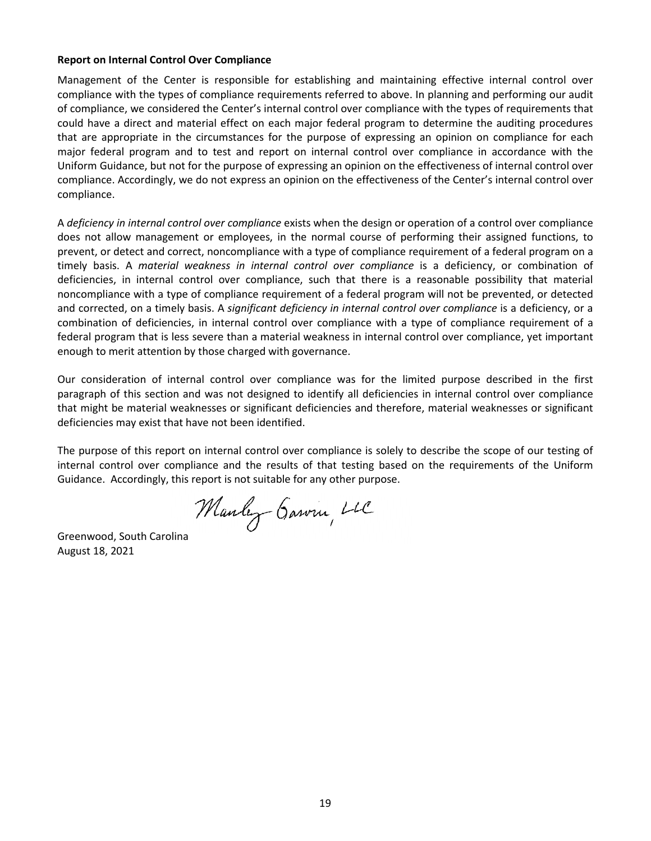#### **Report on Internal Control Over Compliance**

Management of the Center is responsible for establishing and maintaining effective internal control over compliance with the types of compliance requirements referred to above. In planning and performing our audit of compliance, we considered the Center's internal control over compliance with the types of requirements that could have a direct and material effect on each major federal program to determine the auditing procedures that are appropriate in the circumstances for the purpose of expressing an opinion on compliance for each major federal program and to test and report on internal control over compliance in accordance with the Uniform Guidance, but not for the purpose of expressing an opinion on the effectiveness of internal control over compliance. Accordingly, we do not express an opinion on the effectiveness of the Center's internal control over compliance.

A *deficiency in internal control over compliance* exists when the design or operation of a control over compliance does not allow management or employees, in the normal course of performing their assigned functions, to prevent, or detect and correct, noncompliance with a type of compliance requirement of a federal program on a timely basis. A *material weakness in internal control over compliance* is a deficiency, or combination of deficiencies, in internal control over compliance, such that there is a reasonable possibility that material noncompliance with a type of compliance requirement of a federal program will not be prevented, or detected and corrected, on a timely basis. A *significant deficiency in internal control over compliance* is a deficiency, or a combination of deficiencies, in internal control over compliance with a type of compliance requirement of a federal program that is less severe than a material weakness in internal control over compliance, yet important enough to merit attention by those charged with governance.

Our consideration of internal control over compliance was for the limited purpose described in the first paragraph of this section and was not designed to identify all deficiencies in internal control over compliance that might be material weaknesses or significant deficiencies and therefore, material weaknesses or significant deficiencies may exist that have not been identified.

The purpose of this report on internal control over compliance is solely to describe the scope of our testing of internal control over compliance and the results of that testing based on the requirements of the Uniform Guidance. Accordingly, this report is not suitable for any other purpose.

Manley Gawin, LLC

Greenwood, South Carolina August 18, 2021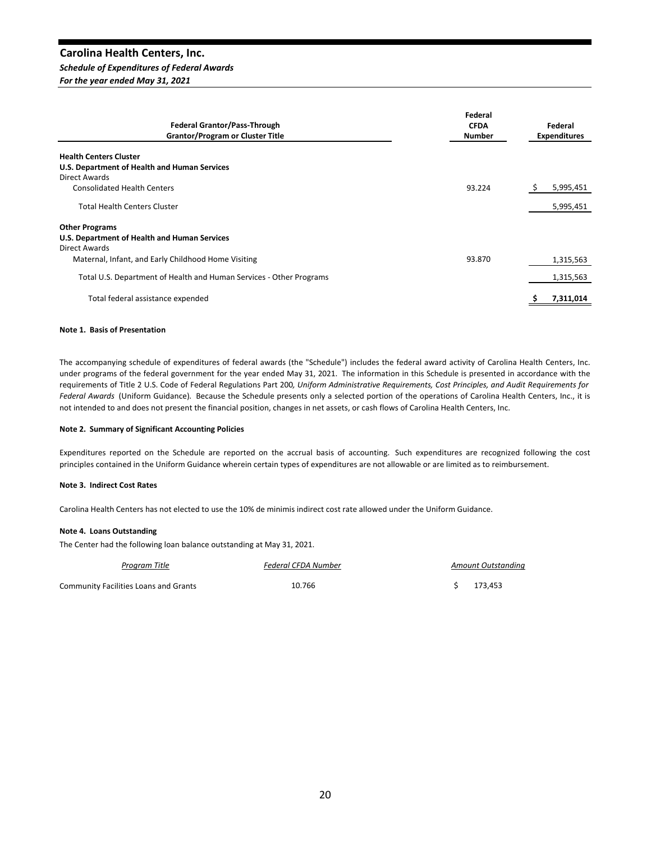#### **Carolina Health Centers, Inc.** *Schedule of Expenditures of Federal Awards*

*For the year ended May 31, 2021*

| <b>Federal Grantor/Pass-Through</b><br><b>Grantor/Program or Cluster Title</b> | Federal<br><b>CFDA</b><br><b>Number</b> | Federal<br><b>Expenditures</b> |
|--------------------------------------------------------------------------------|-----------------------------------------|--------------------------------|
| <b>Health Centers Cluster</b>                                                  |                                         |                                |
| U.S. Department of Health and Human Services<br>Direct Awards                  |                                         |                                |
| <b>Consolidated Health Centers</b>                                             | 93.224                                  | 5,995,451<br>S                 |
| <b>Total Health Centers Cluster</b>                                            |                                         | 5,995,451                      |
| <b>Other Programs</b>                                                          |                                         |                                |
| U.S. Department of Health and Human Services<br>Direct Awards                  |                                         |                                |
| Maternal, Infant, and Early Childhood Home Visiting                            | 93.870                                  | 1,315,563                      |
| Total U.S. Department of Health and Human Services - Other Programs            |                                         | 1,315,563                      |
| Total federal assistance expended                                              |                                         | 7,311,014                      |

#### **Note 1. Basis of Presentation**

The accompanying schedule of expenditures of federal awards (the "Schedule") includes the federal award activity of Carolina Health Centers, Inc. under programs of the federal government for the year ended May 31, 2021. The information in this Schedule is presented in accordance with the requirements of Title 2 U.S. Code of Federal Regulations Part 200*, Uniform Administrative Requirements, Cost Principles, and Audit Requirements for Federal Awards* (Uniform Guidance)*.* Because the Schedule presents only a selected portion of the operations of Carolina Health Centers, Inc., it is not intended to and does not present the financial position, changes in net assets, or cash flows of Carolina Health Centers, Inc.

#### **Note 2. Summary of Significant Accounting Policies**

Expenditures reported on the Schedule are reported on the accrual basis of accounting. Such expenditures are recognized following the cost principles contained in the Uniform Guidance wherein certain types of expenditures are not allowable or are limited as to reimbursement.

#### **Note 3. Indirect Cost Rates**

Carolina Health Centers has not elected to use the 10% de minimis indirect cost rate allowed under the Uniform Guidance.

#### **Note 4. Loans Outstanding**

The Center had the following loan balance outstanding at May 31, 2021.

| Program Title                         | Federal CFDA Number | Amount Outstanding |
|---------------------------------------|---------------------|--------------------|
| Community Facilities Loans and Grants | 10.766              | 173.453            |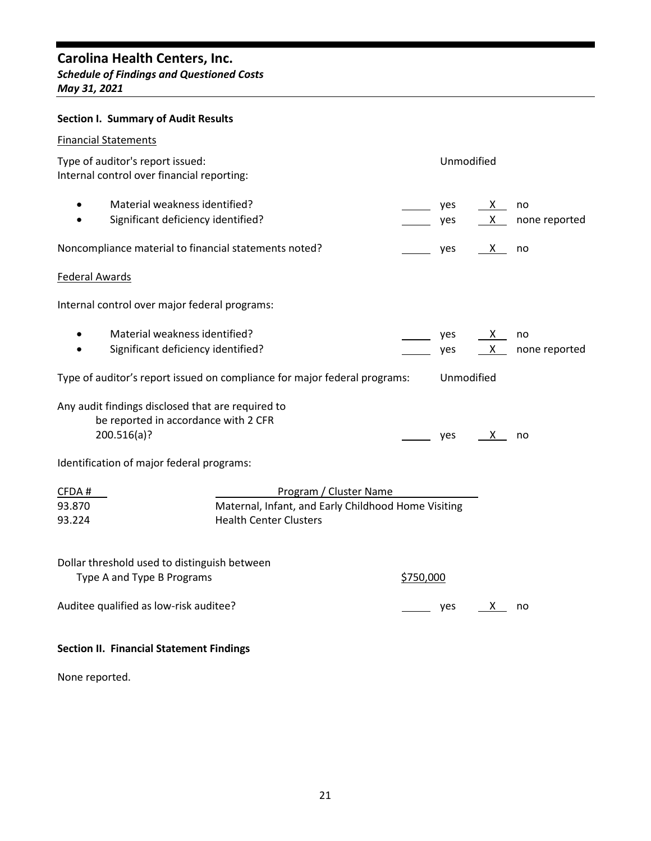*Schedule of Findings and Questioned Costs May 31, 2021* 

| <b>Section I. Summary of Audit Results</b>                                                               |                                                                                                                |           |            |                              |                     |
|----------------------------------------------------------------------------------------------------------|----------------------------------------------------------------------------------------------------------------|-----------|------------|------------------------------|---------------------|
| <b>Financial Statements</b>                                                                              |                                                                                                                |           |            |                              |                     |
| Type of auditor's report issued:<br>Internal control over financial reporting:                           |                                                                                                                |           |            | Unmodified                   |                     |
| Material weakness identified?<br>Significant deficiency identified?<br>$\bullet$                         |                                                                                                                |           | yes<br>yes | $X_{-}$<br>X                 | no<br>none reported |
|                                                                                                          | Noncompliance material to financial statements noted?                                                          |           | ____ yes   | X                            | no                  |
| <b>Federal Awards</b>                                                                                    |                                                                                                                |           |            |                              |                     |
| Internal control over major federal programs:                                                            |                                                                                                                |           |            |                              |                     |
| Material weakness identified?<br>Significant deficiency identified?                                      |                                                                                                                |           | yes<br>yes | $\mathsf{X}$<br>$\mathsf{X}$ | no<br>none reported |
|                                                                                                          | Type of auditor's report issued on compliance for major federal programs:                                      |           |            | Unmodified                   |                     |
| Any audit findings disclosed that are required to<br>be reported in accordance with 2 CFR<br>200.516(a)? |                                                                                                                |           | yes        | X                            | no                  |
| Identification of major federal programs:                                                                |                                                                                                                |           |            |                              |                     |
| CFDA#<br>93.870<br>93.224                                                                                | Program / Cluster Name<br>Maternal, Infant, and Early Childhood Home Visiting<br><b>Health Center Clusters</b> |           |            |                              |                     |
| Dollar threshold used to distinguish between<br>Type A and Type B Programs                               |                                                                                                                | \$750,000 |            |                              |                     |
| Auditee qualified as low-risk auditee?                                                                   |                                                                                                                |           | yes        | X.                           | no                  |
| <b>Section II. Financial Statement Findings</b>                                                          |                                                                                                                |           |            |                              |                     |

None reported.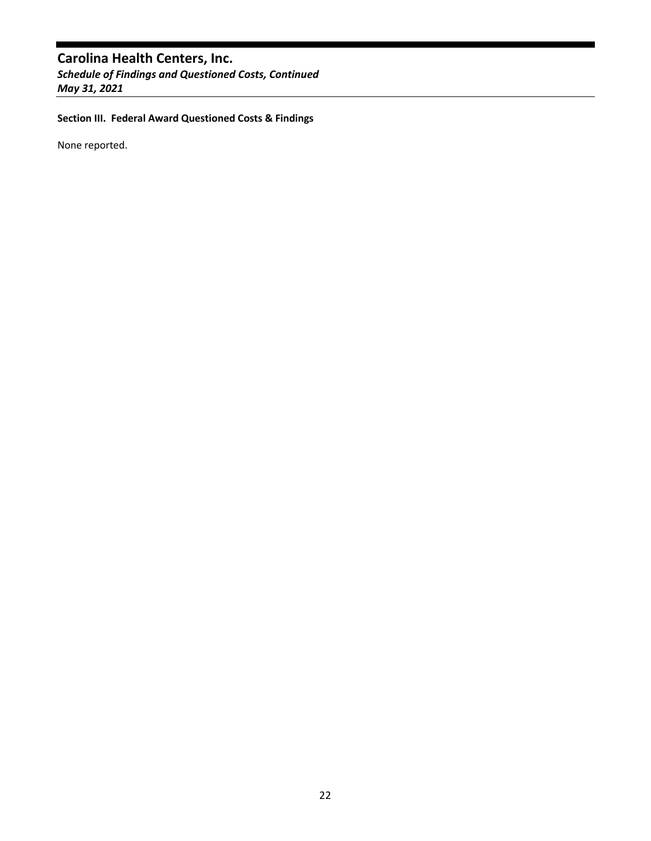*Schedule of Findings and Questioned Costs, Continued May 31, 2021* 

**Section III. Federal Award Questioned Costs & Findings**

None reported.